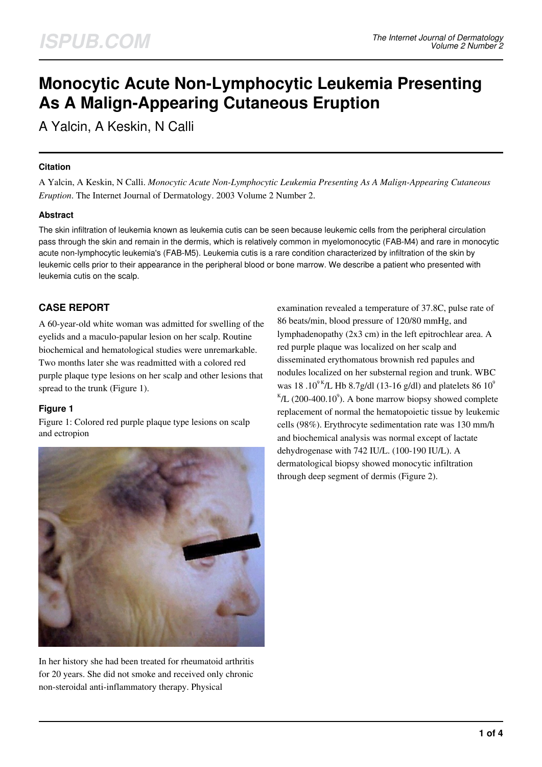# **Monocytic Acute Non-Lymphocytic Leukemia Presenting As A Malign-Appearing Cutaneous Eruption**

A Yalcin, A Keskin, N Calli

## **Citation**

A Yalcin, A Keskin, N Calli. *Monocytic Acute Non-Lymphocytic Leukemia Presenting As A Malign-Appearing Cutaneous Eruption*. The Internet Journal of Dermatology. 2003 Volume 2 Number 2.

# **Abstract**

The skin infiltration of leukemia known as leukemia cutis can be seen because leukemic cells from the peripheral circulation pass through the skin and remain in the dermis, which is relatively common in myelomonocytic (FAB-M4) and rare in monocytic acute non-lymphocytic leukemia's (FAB-M5). Leukemia cutis is a rare condition characterized by infiltration of the skin by leukemic cells prior to their appearance in the peripheral blood or bone marrow. We describe a patient who presented with leukemia cutis on the scalp.

# **CASE REPORT**

A 60-year-old white woman was admitted for swelling of the eyelids and a maculo-papular lesion on her scalp. Routine biochemical and hematological studies were unremarkable. Two months later she was readmitted with a colored red purple plaque type lesions on her scalp and other lesions that spread to the trunk (Figure 1).

# **Figure 1**

Figure 1: Colored red purple plaque type lesions on scalp and ectropion



In her history she had been treated for rheumatoid arthritis for 20 years. She did not smoke and received only chronic non-steroidal anti-inflammatory therapy. Physical

examination revealed a temperature of 37.8C, pulse rate of 86 beats/min, blood pressure of 120/80 mmHg, and lymphadenopathy (2x3 cm) in the left epitrochlear area. A red purple plaque was localized on her scalp and disseminated erythomatous brownish red papules and nodules localized on her substernal region and trunk. WBC was 18.10<sup>9 K</sup>/L Hb 8.7g/dl (13-16 g/dl) and platelets 86 10<sup>9</sup>  $K/L$  (200-400.10<sup>9</sup>). A bone marrow biopsy showed complete replacement of normal the hematopoietic tissue by leukemic cells (98%). Erythrocyte sedimentation rate was 130 mm/h and biochemical analysis was normal except of lactate dehydrogenase with 742 IU/L. (100-190 IU/L). A dermatological biopsy showed monocytic infiltration through deep segment of dermis (Figure 2).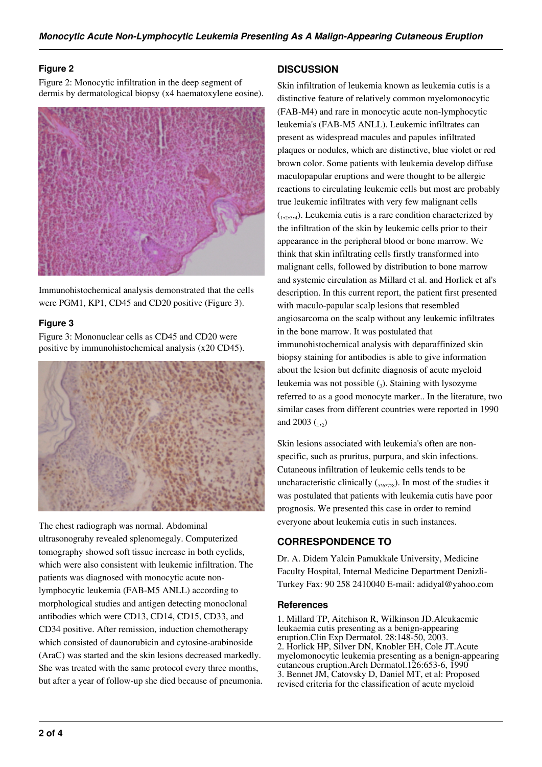## **Figure 2**

Figure 2: Monocytic infiltration in the deep segment of dermis by dermatological biopsy (x4 haematoxylene eosine).



Immunohistochemical analysis demonstrated that the cells were PGM1, KP1, CD45 and CD20 positive (Figure 3).

#### **Figure 3**

Figure 3: Mononuclear cells as CD45 and CD20 were positive by immunohistochemical analysis (x20 CD45).



The chest radiograph was normal. Abdominal ultrasonograhy revealed splenomegaly. Computerized tomography showed soft tissue increase in both eyelids, which were also consistent with leukemic infiltration. The patients was diagnosed with monocytic acute nonlymphocytic leukemia (FAB-M5 ANLL) according to morphological studies and antigen detecting monoclonal antibodies which were CD13, CD14, CD15, CD33, and CD34 positive. After remission, induction chemotherapy which consisted of daunorubicin and cytosine-arabinoside (AraC) was started and the skin lesions decreased markedly. She was treated with the same protocol every three months, but after a year of follow-up she died because of pneumonia.

## **DISCUSSION**

Skin infiltration of leukemia known as leukemia cutis is a distinctive feature of relatively common myelomonocytic (FAB-M4) and rare in monocytic acute non-lymphocytic leukemia's (FAB-M5 ANLL). Leukemic infiltrates can present as widespread macules and papules infiltrated plaques or nodules, which are distinctive, blue violet or red brown color. Some patients with leukemia develop diffuse maculopapular eruptions and were thought to be allergic reactions to circulating leukemic cells but most are probably true leukemic infiltrates with very few malignant cells  $(1, 2, 3, 4)$ . Leukemia cutis is a rare condition characterized by the infiltration of the skin by leukemic cells prior to their appearance in the peripheral blood or bone marrow. We think that skin infiltrating cells firstly transformed into malignant cells, followed by distribution to bone marrow and systemic circulation as Millard et al. and Horlick et al's description. In this current report, the patient first presented with maculo-papular scalp lesions that resembled angiosarcoma on the scalp without any leukemic infiltrates in the bone marrow. It was postulated that immunohistochemical analysis with deparaffinized skin biopsy staining for antibodies is able to give information about the lesion but definite diagnosis of acute myeloid leukemia was not possible  $\left( \frac{1}{3} \right)$ . Staining with lysozyme referred to as a good monocyte marker.. In the literature, two similar cases from different countries were reported in 1990 and 2003  $\binom{1}{2}$ 

Skin lesions associated with leukemia's often are nonspecific, such as pruritus, purpura, and skin infections. Cutaneous infiltration of leukemic cells tends to be uncharacteristic clinically  $({}_{5,6,7,8})$ . In most of the studies it was postulated that patients with leukemia cutis have poor prognosis. We presented this case in order to remind everyone about leukemia cutis in such instances.

# **CORRESPONDENCE TO**

Dr. A. Didem Yalcin Pamukkale University, Medicine Faculty Hospital, Internal Medicine Department Denizli-Turkey Fax: 90 258 2410040 E-mail: adidyal@yahoo.com

## **References**

1. Millard TP, Aitchison R, Wilkinson JD.Aleukaemic leukaemia cutis presenting as a benign-appearing eruption.Clin Exp Dermatol. 28:148-50, 2003. 2. Horlick HP, Silver DN, Knobler EH, Cole JT.Acute myelomonocytic leukemia presenting as a benign-appearing cutaneous eruption.Arch Dermatol.126:653-6, 1990 3. Bennet JM, Catovsky D, Daniel MT, et al: Proposed revised criteria for the classification of acute myeloid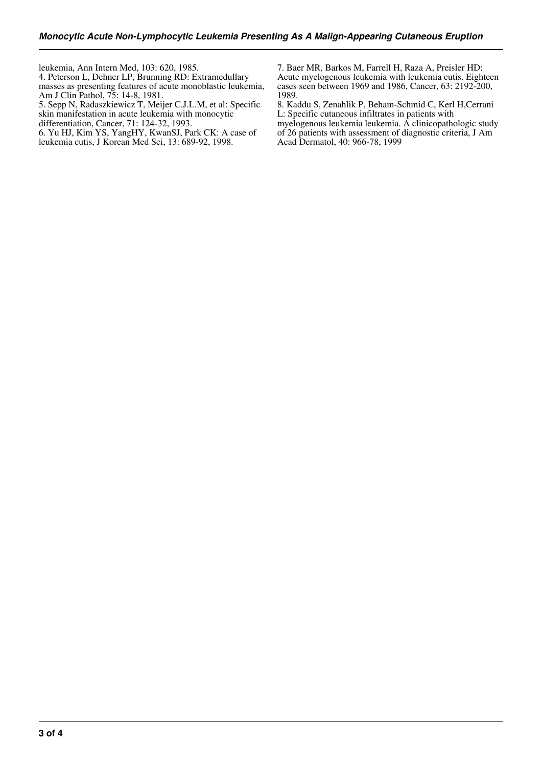leukemia, Ann Intern Med, 103: 620, 1985.

4. Peterson L, Dehner LP, Brunning RD: Extramedullary masses as presenting features of acute monoblastic leukemia, Am J Clin Pathol, 75: 14-8, 1981.

5. Sepp N, Radaszkiewicz T, Meijer C.J.L.M, et al: Specific

skin manifestation in acute leukemia with monocytic

differentiation, Cancer, 71: 124-32, 1993.

6. Yu HJ, Kim YS, YangHY, KwanSJ, Park CK: A case of

leukemia cutis, J Korean Med Sci, 13: 689-92, 1998.

7. Baer MR, Barkos M, Farrell H, Raza A, Preisler HD: Acute myelogenous leukemia with leukemia cutis. Eighteen cases seen between 1969 and 1986, Cancer, 63: 2192-200, 1989.

8. Kaddu S, Zenahlik P, Beham-Schmid C, Kerl H,Cerrani L: Specific cutaneous infiltrates in patients with myelogenous leukemia leukemia. A clinicopathologic study of 26 patients with assessment of diagnostic criteria, J Am Acad Dermatol, 40: 966-78, 1999